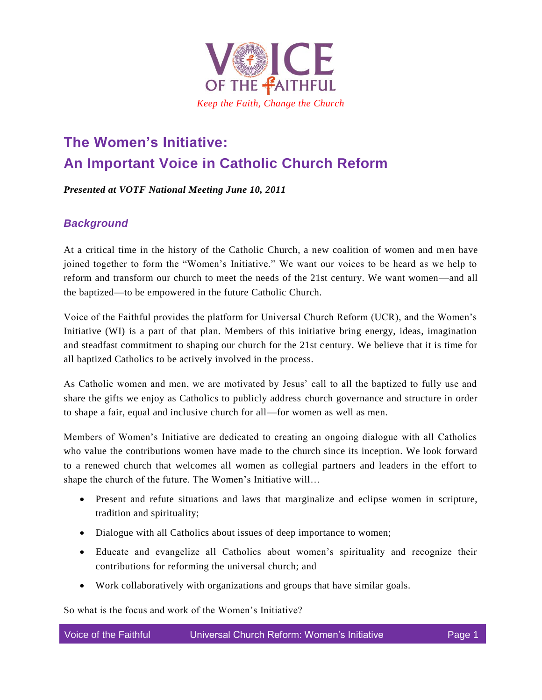

# **The Women's Initiative: An Important Voice in Catholic Church Reform**

*Presented at VOTF National Meeting June 10, 2011*

#### *Background*

At a critical time in the history of the Catholic Church, a new coalition of women and men have joined together to form the "Women's Initiative." We want our voices to be heard as we help to reform and transform our church to meet the needs of the 21st century. We want women—and all the baptized—to be empowered in the future Catholic Church.

Voice of the Faithful provides the platform for Universal Church Reform (UCR), and the Women's Initiative (WI) is a part of that plan. Members of this initiative bring energy, ideas, imagination and steadfast commitment to shaping our church for the 21st century. We believe that it is time for all baptized Catholics to be actively involved in the process.

As Catholic women and men, we are motivated by Jesus' call to all the baptized to fully use and share the gifts we enjoy as Catholics to publicly address church governance and structure in order to shape a fair, equal and inclusive church for all—for women as well as men.

Members of Women's Initiative are dedicated to creating an ongoing dialogue with all Catholics who value the contributions women have made to the church since its inception. We look forward to a renewed church that welcomes all women as collegial partners and leaders in the effort to shape the church of the future. The Women's Initiative will…

- Present and refute situations and laws that marginalize and eclipse women in scripture, tradition and spirituality;
- Dialogue with all Catholics about issues of deep importance to women;
- Educate and evangelize all Catholics about women's spirituality and recognize their contributions for reforming the universal church; and
- Work collaboratively with organizations and groups that have similar goals.

So what is the focus and work of the Women's Initiative?